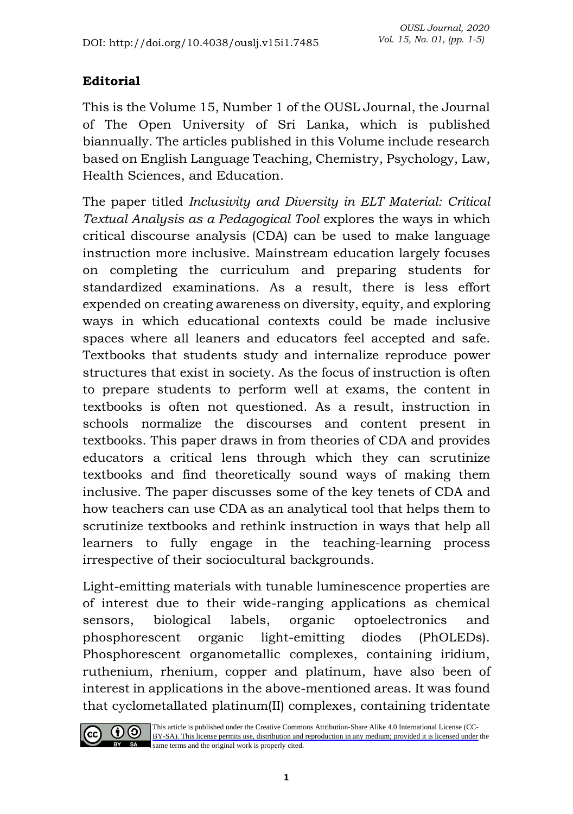## **Editorial**

This is the Volume 15, Number 1 of the OUSL Journal, the Journal of The Open University of Sri Lanka, which is published biannually. The articles published in this Volume include research based on English Language Teaching, Chemistry, Psychology, Law, Health Sciences, and Education.

The paper titled *Inclusivity and Diversity in ELT Material: Critical Textual Analysis as a Pedagogical Tool* explores the ways in which critical discourse analysis (CDA) can be used to make language instruction more inclusive. Mainstream education largely focuses on completing the curriculum and preparing students for standardized examinations. As a result, there is less effort expended on creating awareness on diversity, equity, and exploring ways in which educational contexts could be made inclusive spaces where all leaners and educators feel accepted and safe. Textbooks that students study and internalize reproduce power structures that exist in society. As the focus of instruction is often to prepare students to perform well at exams, the content in textbooks is often not questioned. As a result, instruction in schools normalize the discourses and content present in textbooks. This paper draws in from theories of CDA and provides educators a critical lens through which they can scrutinize textbooks and find theoretically sound ways of making them inclusive. The paper discusses some of the key tenets of CDA and how teachers can use CDA as an analytical tool that helps them to scrutinize textbooks and rethink instruction in ways that help all learners to fully engage in the teaching-learning process irrespective of their sociocultural backgrounds.

Light-emitting materials with tunable luminescence properties are of interest due to their wide-ranging applications as chemical sensors, biological labels, organic optoelectronics and phosphorescent organic light-emitting diodes (PhOLEDs). Phosphorescent organometallic complexes, containing iridium, ruthenium, rhenium, copper and platinum, have also been of interest in applications in the above-mentioned areas. It was found that cyclometallated platinum(II) complexes, containing tridentate



This article is published under the Creative Commons Attribution-Share Alike 4.0 International License (CC-[BY-SA\). This license permits use, distribution and reproduction in any medium; provided it is licensed under](https://creativecommons.org/licenses/by-sa/4.0/) the same terms and the original work is properly cited.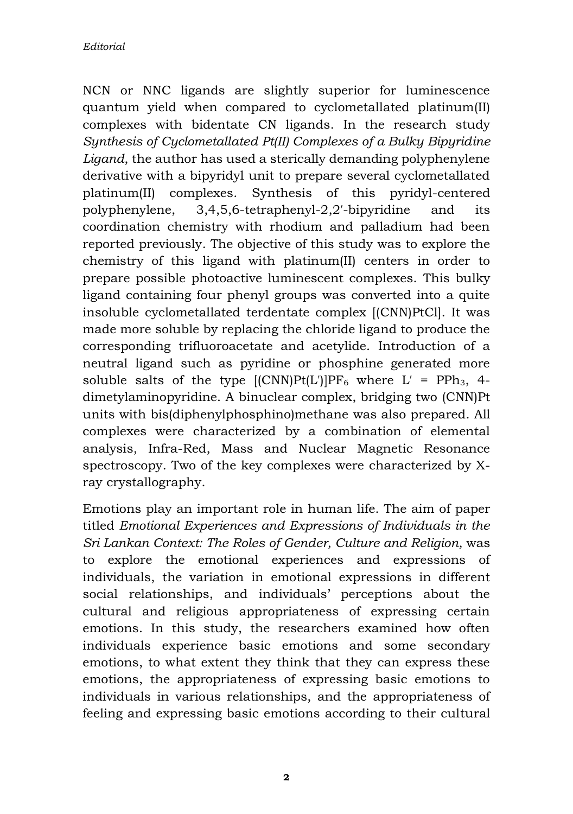NCN or NNC ligands are slightly superior for luminescence quantum yield when compared to cyclometallated platinum(II) complexes with bidentate CN ligands. In the research study *Synthesis of Cyclometallated Pt(II) Complexes of a Bulky Bipyridine Ligand*, the author has used a sterically demanding polyphenylene derivative with a bipyridyl unit to prepare several cyclometallated platinum(II) complexes. Synthesis of this pyridyl-centered polyphenylene, 3,4,5,6-tetraphenyl-2,2′-bipyridine and its coordination chemistry with rhodium and palladium had been reported previously. The objective of this study was to explore the chemistry of this ligand with platinum(II) centers in order to prepare possible photoactive luminescent complexes. This bulky ligand containing four phenyl groups was converted into a quite insoluble cyclometallated terdentate complex [(CNN)PtCl]. It was made more soluble by replacing the chloride ligand to produce the corresponding trifluoroacetate and acetylide. Introduction of a neutral ligand such as pyridine or phosphine generated more soluble salts of the type  $[(CNN]Pf(L')]PF_6$  where  $L' = PPh_3$ , 4dimetylaminopyridine. A binuclear complex, bridging two (CNN)Pt units with bis(diphenylphosphino)methane was also prepared. All complexes were characterized by a combination of elemental analysis, Infra-Red, Mass and Nuclear Magnetic Resonance spectroscopy. Two of the key complexes were characterized by Xray crystallography.

Emotions play an important role in human life. The aim of paper titled *Emotional Experiences and Expressions of Individuals in the Sri Lankan Context: The Roles of Gender, Culture and Religion,* was to explore the emotional experiences and expressions of individuals, the variation in emotional expressions in different social relationships, and individuals' perceptions about the cultural and religious appropriateness of expressing certain emotions. In this study, the researchers examined how often individuals experience basic emotions and some secondary emotions, to what extent they think that they can express these emotions, the appropriateness of expressing basic emotions to individuals in various relationships, and the appropriateness of feeling and expressing basic emotions according to their cultural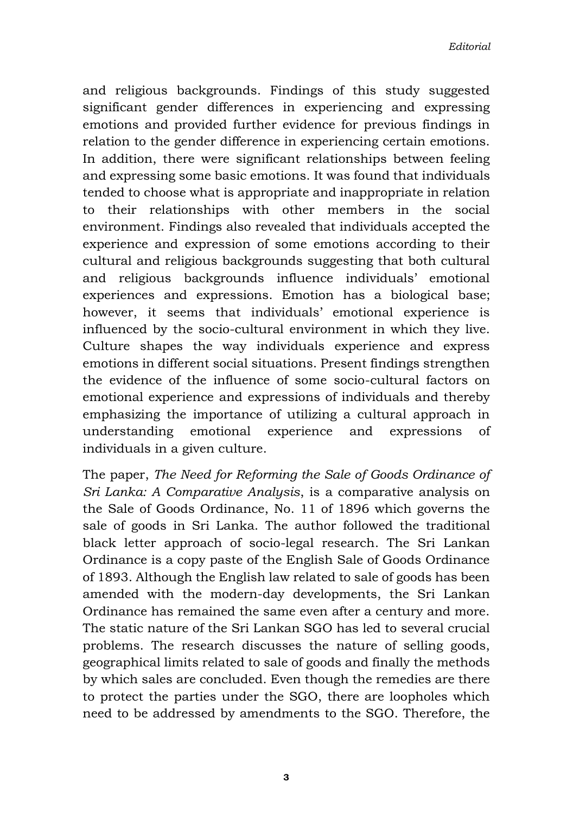and religious backgrounds. Findings of this study suggested significant gender differences in experiencing and expressing emotions and provided further evidence for previous findings in relation to the gender difference in experiencing certain emotions. In addition, there were significant relationships between feeling and expressing some basic emotions. It was found that individuals tended to choose what is appropriate and inappropriate in relation to their relationships with other members in the social environment. Findings also revealed that individuals accepted the experience and expression of some emotions according to their cultural and religious backgrounds suggesting that both cultural and religious backgrounds influence individuals' emotional experiences and expressions. Emotion has a biological base; however, it seems that individuals' emotional experience is influenced by the socio-cultural environment in which they live. Culture shapes the way individuals experience and express emotions in different social situations. Present findings strengthen the evidence of the influence of some socio-cultural factors on emotional experience and expressions of individuals and thereby emphasizing the importance of utilizing a cultural approach in understanding emotional experience and expressions of individuals in a given culture.

The paper, *The Need for Reforming the Sale of Goods Ordinance of Sri Lanka: A Comparative Analysis*, is a comparative analysis on the Sale of Goods Ordinance, No. 11 of 1896 which governs the sale of goods in Sri Lanka. The author followed the traditional black letter approach of socio-legal research. The Sri Lankan Ordinance is a copy paste of the English Sale of Goods Ordinance of 1893. Although the English law related to sale of goods has been amended with the modern-day developments, the Sri Lankan Ordinance has remained the same even after a century and more. The static nature of the Sri Lankan SGO has led to several crucial problems. The research discusses the nature of selling goods, geographical limits related to sale of goods and finally the methods by which sales are concluded. Even though the remedies are there to protect the parties under the SGO, there are loopholes which need to be addressed by amendments to the SGO. Therefore, the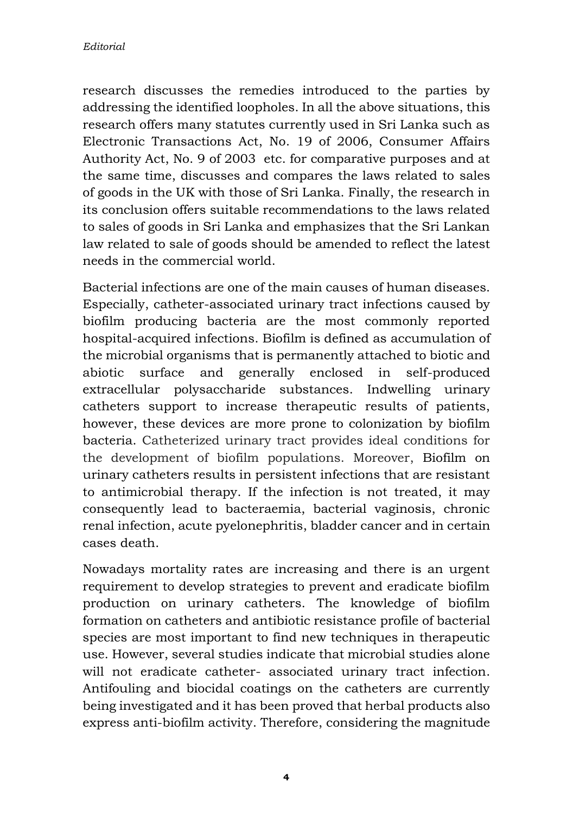research discusses the remedies introduced to the parties by addressing the identified loopholes. In all the above situations, this research offers many statutes currently used in Sri Lanka such as Electronic Transactions Act, No. 19 of 2006, Consumer Affairs Authority Act, No. 9 of 2003 etc. for comparative purposes and at the same time, discusses and compares the laws related to sales of goods in the UK with those of Sri Lanka. Finally, the research in its conclusion offers suitable recommendations to the laws related to sales of goods in Sri Lanka and emphasizes that the Sri Lankan law related to sale of goods should be amended to reflect the latest needs in the commercial world.

Bacterial infections are one of the main causes of human diseases. Especially, catheter-associated urinary tract infections caused by biofilm producing bacteria are the most commonly reported hospital-acquired infections. Biofilm is defined as accumulation of the microbial organisms that is permanently attached to biotic and abiotic surface and generally enclosed in self-produced extracellular polysaccharide substances. Indwelling urinary catheters support to increase therapeutic results of patients, however, these devices are more prone to colonization by biofilm bacteria. Catheterized urinary tract provides ideal conditions for the development of biofilm populations. Moreover, Biofilm on urinary catheters results in persistent infections that are resistant to antimicrobial therapy. If the infection is not treated, it may consequently lead to bacteraemia, bacterial vaginosis, chronic renal infection, acute pyelonephritis, bladder cancer and in certain cases death.

Nowadays mortality rates are increasing and there is an urgent requirement to develop strategies to prevent and eradicate biofilm production on urinary catheters. The knowledge of biofilm formation on catheters and antibiotic resistance profile of bacterial species are most important to find new techniques in therapeutic use. However, several studies indicate that microbial studies alone will not eradicate catheter- associated urinary tract infection. Antifouling and biocidal coatings on the catheters are currently being investigated and it has been proved that herbal products also express anti-biofilm activity. Therefore, considering the magnitude